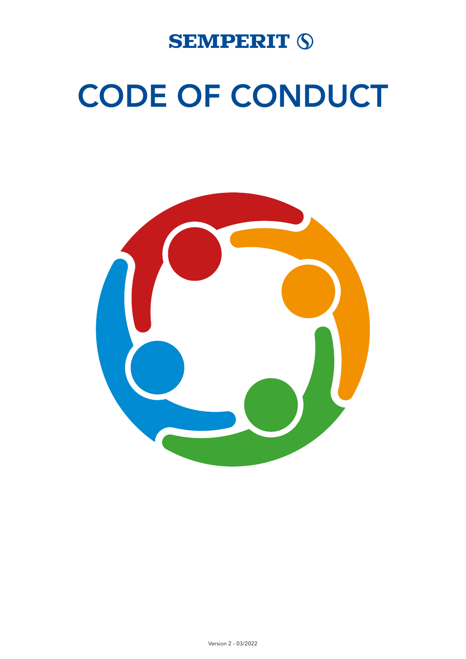

# CODE OF CONDUCT

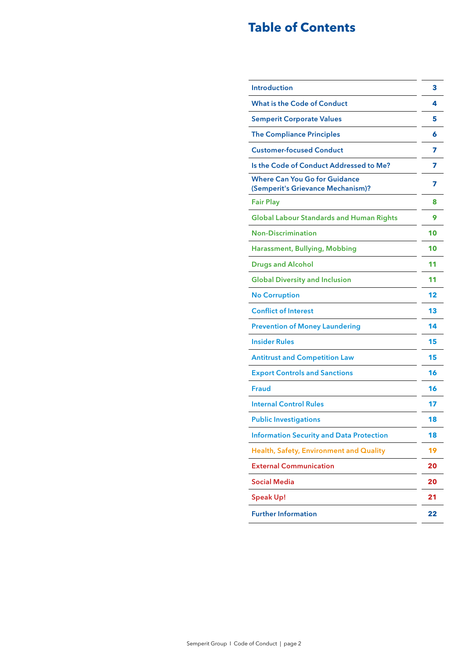# **Table of Contents**

| <b>Introduction</b>                                                       | 3  |
|---------------------------------------------------------------------------|----|
| <b>What is the Code of Conduct</b>                                        | 4  |
| <b>Semperit Corporate Values</b>                                          | 5  |
| <b>The Compliance Principles</b>                                          | 6  |
| <b>Customer-focused Conduct</b>                                           | 7  |
| Is the Code of Conduct Addressed to Me?                                   | 7  |
| <b>Where Can You Go for Guidance</b><br>(Semperit's Grievance Mechanism)? | 7  |
| <b>Fair Play</b>                                                          | 8  |
| <b>Global Labour Standards and Human Rights</b>                           | 9  |
| <b>Non-Discrimination</b>                                                 | 10 |
| <b>Harassment, Bullying, Mobbing</b>                                      | 10 |
| <b>Drugs and Alcohol</b>                                                  | 11 |
| <b>Global Diversity and Inclusion</b>                                     | 11 |
| <b>No Corruption</b>                                                      | 12 |
| <b>Conflict of Interest</b>                                               | 13 |
| <b>Prevention of Money Laundering</b>                                     | 14 |
| <b>Insider Rules</b>                                                      | 15 |
| <b>Antitrust and Competition Law</b>                                      | 15 |
| <b>Export Controls and Sanctions</b>                                      | 16 |
| <b>Fraud</b>                                                              | 16 |
| <b>Internal Control Rules</b>                                             | 17 |
| <b>Public Investigations</b>                                              | 18 |
| <b>Information Security and Data Protection</b>                           | 18 |
| Health, Safety, Environment and Quality                                   | 19 |
| <b>External Communication</b>                                             | 20 |
| <b>Social Media</b>                                                       | 20 |
| <b>Speak Up!</b>                                                          | 21 |
| <b>Further Information</b>                                                | 22 |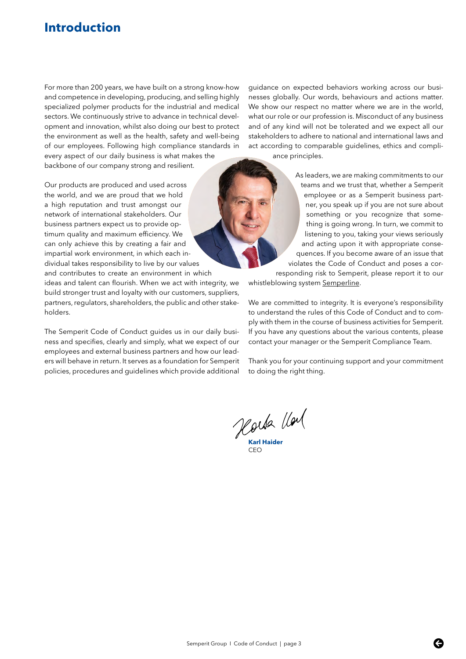# <span id="page-2-0"></span>**Introduction**

For more than 200 years, we have built on a strong know-how and competence in developing, producing, and selling highly specialized polymer products for the industrial and medical sectors. We continuously strive to advance in technical development and innovation, whilst also doing our best to protect the environment as well as the health, safety and well-being of our employees. Following high compliance standards in every aspect of our daily business is what makes the

backbone of our company strong and resilient.

Our products are produced and used across the world, and we are proud that we hold a high reputation and trust amongst our network of international stakeholders. Our business partners expect us to provide optimum quality and maximum efficiency. We can only achieve this by creating a fair and impartial work environment, in which each individual takes responsibility to live by our values and contributes to create an environment in which

ideas and talent can flourish. When we act with integrity, we build stronger trust and loyalty with our customers, suppliers, partners, regulators, shareholders, the public and other stakeholders.

The Semperit Code of Conduct guides us in our daily business and specifies, clearly and simply, what we expect of our employees and external business partners and how our leaders will behave in return. It serves as a foundation for Semperit policies, procedures and guidelines which provide additional guidance on expected behaviors working across our businesses globally. Our words, behaviours and actions matter. We show our respect no matter where we are in the world, what our role or our profession is. Misconduct of any business and of any kind will not be tolerated and we expect all our stakeholders to adhere to national and international laws and act according to comparable guidelines, ethics and compliance principles.

> As leaders, we are making commitments to our teams and we trust that, whether a Semperit employee or as a Semperit business partner, you speak up if you are not sure about something or you recognize that something is going wrong. In turn, we commit to listening to you, taking your views seriously and acting upon it with appropriate consequences. If you become aware of an issue that violates the Code of Conduct and poses a corresponding risk to Semperit, please report it to our

whistleblowing system [Semperline](https://www.bkms-system.com/bkwebanon/report/clientInfo?cin=19semp16&c=-1&language=eng).

We are committed to integrity. It is everyone's responsibility to understand the rules of this Code of Conduct and to comply with them in the course of business activities for Semperit. If you have any questions about the various contents, please contact your manager or the Semperit Compliance Team.

Thank you for your continuing support and your commitment to doing the right thing.

Horda llal

**Karl Haider** CEO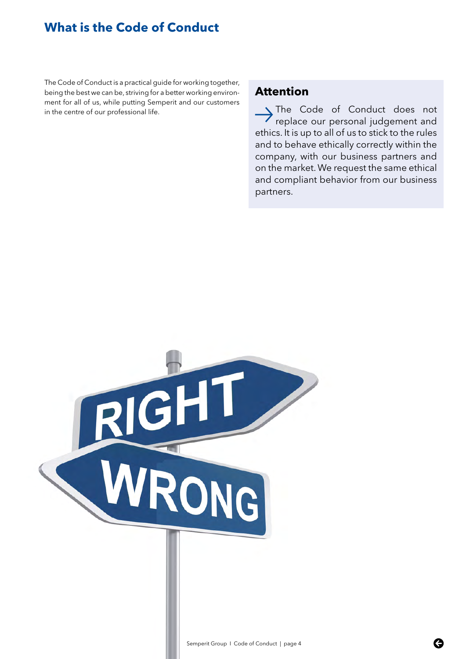# <span id="page-3-0"></span>**What is the Code of Conduct**

The Code of Conduct is a practical guide for working together, being the best we can be, striving for a better working environment for all of us, while putting Semperit and our customers in the centre of our professional life.

## **Attention**

> The Code of Conduct does not<br>
replace our personal judgement and ethics. It is up to all of us to stick to the rules and to behave ethically correctly within the company, with our business partners and on the market. We request the same ethical and compliant behavior from our business partners.

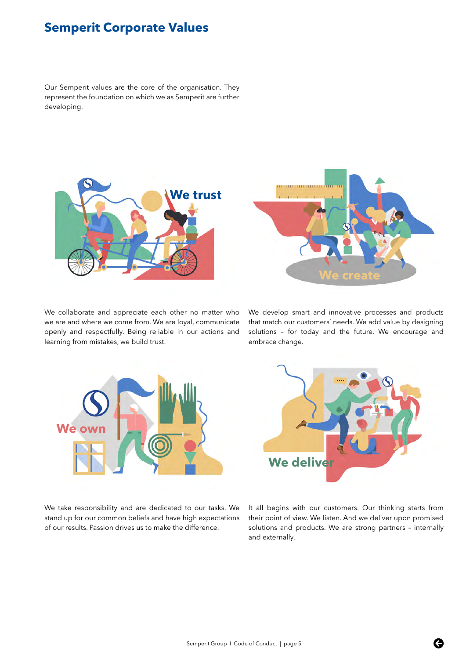# <span id="page-4-0"></span>**Semperit Corporate Values**

Our Semperit values are the core of the organisation. They represent the foundation on which we as Semperit are further developing.



We collaborate and appreciate each other no matter who we are and where we come from. We are loyal, communicate openly and respectfully. Being reliable in our actions and learning from mistakes, we build trust.



We develop smart and innovative processes and products that match our customers' needs. We add value by designing solutions – for today and the future. We encourage and embrace change.



We take responsibility and are dedicated to our tasks. We stand up for our common beliefs and have high expectations of our results. Passion drives us to make the difference.



It all begins with our customers. Our thinking starts from their point of view. We listen. And we deliver upon promised solutions and products. We are strong partners – internally and externally.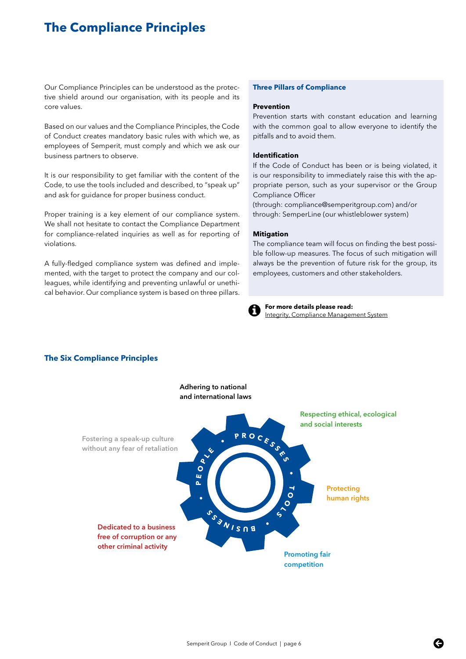# <span id="page-5-0"></span>**The Compliance Principles**

Our Compliance Principles can be understood as the protective shield around our organisation, with its people and its core values.

Based on our values and the Compliance Principles, the Code of Conduct creates mandatory basic rules with which we, as employees of Semperit, must comply and which we ask our business partners to observe.

It is our responsibility to get familiar with the content of the Code, to use the tools included and described, to "speak up" and ask for guidance for proper business conduct.

Proper training is a key element of our compliance system. We shall not hesitate to contact the Compliance Department for compliance-related inquiries as well as for reporting of violations.

A fully-fledged compliance system was defined and implemented, with the target to protect the company and our colleagues, while identifying and preventing unlawful or unethical behavior. Our compliance system is based on three pillars.

#### **Three Pillars of Compliance**

#### **Prevention**

Prevention starts with constant education and learning with the common goal to allow everyone to identify the pitfalls and to avoid them.

#### **Identification**

If the Code of Conduct has been or is being violated, it is our responsibility to immediately raise this with the appropriate person, such as your supervisor or the Group Compliance Officer

(through: compliance@semperitgroup.com) and/or through: SemperLine (our whistleblower system)

#### **Mitigation**

The compliance team will focus on finding the best possible follow-up measures. The focus of such mitigation will always be the prevention of future risk for the group, its employees, customers and other stakeholders.



**For more details please read:** [Integrity, Compliance Management System](https://semperit.sharepoint.com/sites/grcomppu/Pages/Compliance%20Management%20System%20012018.pdf )



#### **The Six Compliance Principles**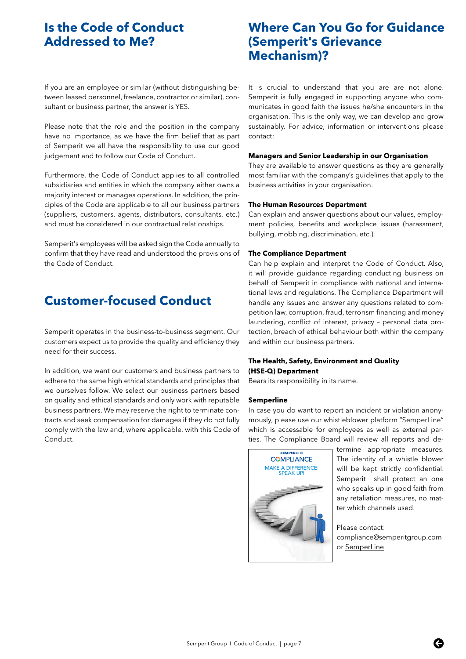# <span id="page-6-0"></span>**Is the Code of Conduct Addressed to Me?**

If you are an employee or similar (without distinguishing between leased personnel, freelance, contractor or similar), consultant or business partner, the answer is YES.

Please note that the role and the position in the company have no importance, as we have the firm belief that as part of Semperit we all have the responsibility to use our good judgement and to follow our Code of Conduct.

Furthermore, the Code of Conduct applies to all controlled subsidiaries and entities in which the company either owns a majority interest or manages operations. In addition, the principles of the Code are applicable to all our business partners (suppliers, customers, agents, distributors, consultants, etc.) and must be considered in our contractual relationships.

Semperit's employees will be asked sign the Code annually to confirm that they have read and understood the provisions of the Code of Conduct.

# **Customer-focused Conduct**

Semperit operates in the business-to-business segment. Our customers expect us to provide the quality and efficiency they need for their success.

In addition, we want our customers and business partners to adhere to the same high ethical standards and principles that we ourselves follow. We select our business partners based on quality and ethical standards and only work with reputable business partners. We may reserve the right to terminate contracts and seek compensation for damages if they do not fully comply with the law and, where applicable, with this Code of Conduct.

# **Where Can You Go for Guidance (Semperit's Grievance Mechanism)?**

It is crucial to understand that you are are not alone. Semperit is fully engaged in supporting anyone who communicates in good faith the issues he/she encounters in the organisation. This is the only way, we can develop and grow sustainably. For advice, information or interventions please contact:

#### **Managers and Senior Leadership in our Organisation**

They are available to answer questions as they are generally most familiar with the company's guidelines that apply to the business activities in your organisation.

#### **The Human Resources Department**

Can explain and answer questions about our values, employment policies, benefits and workplace issues (harassment, bullying, mobbing, discrimination, etc.).

#### **The Compliance Department**

Can help explain and interpret the Code of Conduct. Also, it will provide guidance regarding conducting business on behalf of Semperit in compliance with national and international laws and regulations. The Compliance Department will handle any issues and answer any questions related to competition law, corruption, fraud, terrorism financing and money laundering, conflict of interest, privacy – personal data protection, breach of ethical behaviour both within the company and within our business partners.

#### **The Health, Safety, Environment and Quality (HSE-Q) Department**

Bears its responsibility in its name.

#### **Semperline**

In case you do want to report an incident or violation anonymously, please use our whistleblower platform "SemperLine" which is accessable for employees as well as external parties. The Compliance Board will review all reports and de-



termine appropriate measures. The identity of a whistle blower will be kept strictly confidential. Semperit shall protect an one who speaks up in good faith from any retaliation measures, no matter which channels used.

Please contact: compliance@semperitgroup.com or [SemperLine](https://www.bkms-system.com/bkwebanon/report/clientInfo?cin=19semp16&c=-1&language=eng)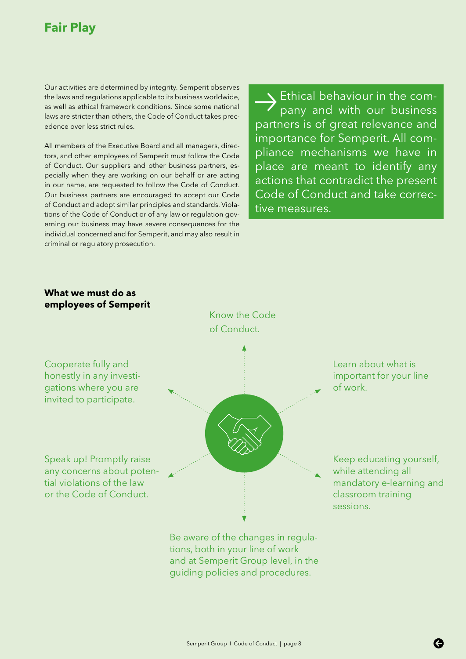# <span id="page-7-0"></span>**Fair Play**

Our activities are determined by integrity. Semperit observes the laws and regulations applicable to its business worldwide, as well as ethical framework conditions. Since some national laws are stricter than others, the Code of Conduct takes precedence over less strict rules.

All members of the Executive Board and all managers, directors, and other employees of Semperit must follow the Code of Conduct. Our suppliers and other business partners, especially when they are working on our behalf or are acting in our name, are requested to follow the Code of Conduct. Our business partners are encouraged to accept our Code of Conduct and adopt similar principles and standards. Violations of the Code of Conduct or of any law or regulation governing our business may have severe consequences for the individual concerned and for Semperit, and may also result in criminal or regulatory prosecution.

**Ethical behaviour in the com-**<br>pany and with our business partners is of great relevance and importance for Semperit. All compliance mechanisms we have in place are meant to identify any actions that contradict the present Code of Conduct and take corrective measures.

## **What we must do as employees of Semperit**

Cooperate fully and



Know the Code of Conduct.

Be aware of the changes in regulations, both in your line of work and at Semperit Group level, in the guiding policies and procedures.

Learn about what is important for your line of work.

Keep educating yourself, while attending all mandatory e-learning and classroom training sessions.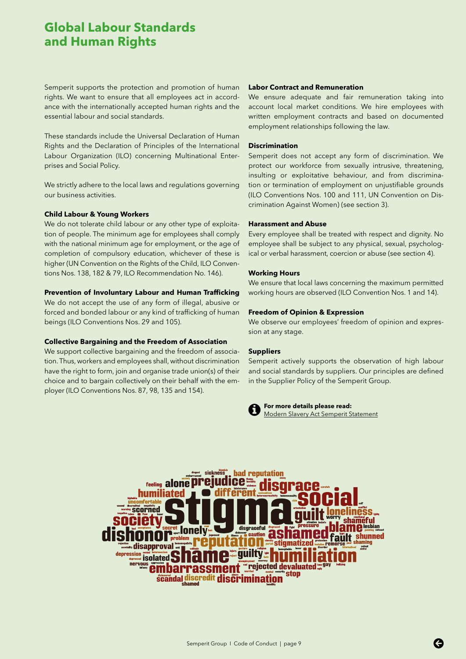# <span id="page-8-0"></span>**Global Labour Standards and Human Rights**

Semperit supports the protection and promotion of human rights. We want to ensure that all employees act in accordance with the internationally accepted human rights and the essential labour and social standards.

These standards include the Universal Declaration of Human Rights and the Declaration of Principles of the International Labour Organization (ILO) concerning Multinational Enterprises and Social Policy.

We strictly adhere to the local laws and regulations governing our business activities.

#### **Child Labour & Young Workers**

We do not tolerate child labour or any other type of exploitation of people. The minimum age for employees shall comply with the national minimum age for employment, or the age of completion of compulsory education, whichever of these is higher (UN Convention on the Rights of the Child, ILO Conventions Nos. 138, 182 & 79, ILO Recommendation No. 146).

#### **Prevention of Involuntary Labour and Human Trafficking**

We do not accept the use of any form of illegal, abusive or forced and bonded labour or any kind of trafficking of human beings (ILO Conventions Nos. 29 and 105).

#### **Collective Bargaining and the Freedom of Association**

We support collective bargaining and the freedom of association. Thus, workers and employees shall, without discrimination have the right to form, join and organise trade union(s) of their choice and to bargain collectively on their behalf with the employer (ILO Conventions Nos. 87, 98, 135 and 154).

#### **Labor Contract and Remuneration**

We ensure adequate and fair remuneration taking into account local market conditions. We hire employees with written employment contracts and based on documented employment relationships following the law.

#### **Discrimination**

Semperit does not accept any form of discrimination. We protect our workforce from sexually intrusive, threatening, insulting or exploitative behaviour, and from discrimination or termination of employment on unjustifiable grounds (ILO Conventions Nos. 100 and 111, UN Convention on Discrimination Against Women) (see section 3).

#### **Harassment and Abuse**

Every employee shall be treated with respect and dignity. No employee shall be subject to any physical, sexual, psychological or verbal harassment, coercion or abuse (see section 4).

#### **Working Hours**

We ensure that local laws concerning the maximum permitted working hours are observed (ILO Convention Nos. 1 and 14).

#### **Freedom of Opinion & Expression**

We observe our employees' freedom of opinion and expression at any stage.

#### **Suppliers**

Semperit actively supports the observation of high labour and social standards by suppliers. Our principles are defined in the Supplier Policy of the Semperit Group.



**For more details please read:** [Modern Slavery Act Semperit Statement](https://www.semperitgroup.com/fileadmin/img/holding/pdf_dateien/Compliance/Modern_Slavery_Act_Statement_FY2019_01102020_final.pdf)

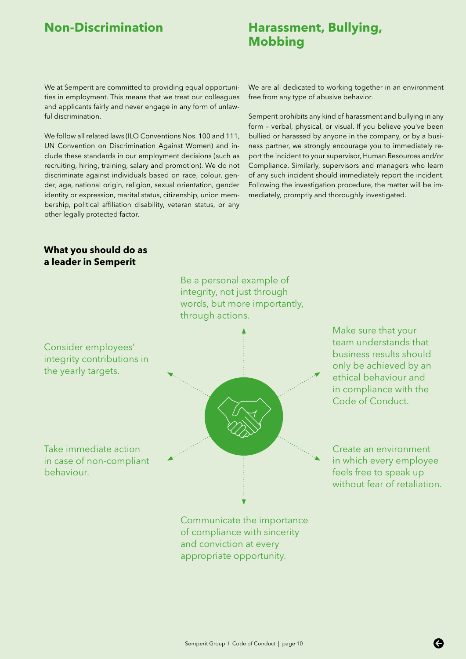# <span id="page-9-0"></span>**Non-Discrimination Harassment, Bullying, Mobbing**

We at Semperit are committed to providing equal opportunities in employment. This means that we treat our colleagues and applicants fairly and never engage in any form of unlawful discrimination.

We follow all related laws (ILO Conventions Nos. 100 and 111, UN Convention on Discrimination Against Women) and include these standards in our employment decisions (such as recruiting, hiring, training, salary and promotion). We do not discriminate against individuals based on race, colour, gender, age, national origin, religion, sexual orientation, gender identity or expression, marital status, citizenship, union membership, political affiliation disability, veteran status, or any other legally protected factor.

We are all dedicated to working together in an environment free from any type of abusive behavior.

Semperit prohibits any kind of harassment and bullying in any form – verbal, physical, or visual. If you believe you've been bullied or harassed by anyone in the company, or by a business partner, we strongly encourage you to immediately report the incident to your supervisor, Human Resources and/or Compliance. Similarly, supervisors and managers who learn of any such incident should immediately report the incident. Following the investigation procedure, the matter will be immediately, promptly and thoroughly investigated.

## **What you should do as a leader in Semperit**



team understands that business results should only be achieved by an ethical behaviour and in compliance with the Code of Conduct.

Create an environment in which every employee feels free to speak up without fear of retaliation.

of compliance with sincerity and conviction at every appropriate opportunity.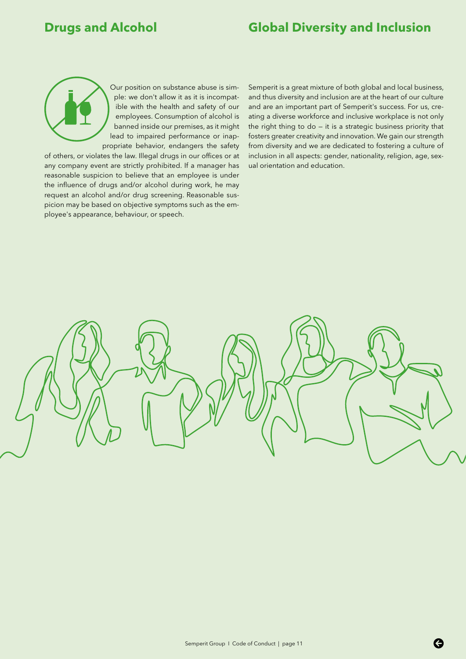# <span id="page-10-0"></span>**Drugs and Alcohol Global Diversity and Inclusion**

Our position on substance abuse is simple: we don't allow it as it is incompatible with the health and safety of our employees. Consumption of alcohol is banned inside our premises, as it might lead to impaired performance or inappropriate behavior, endangers the safety

of others, or violates the law. Illegal drugs in our offices or at any company event are strictly prohibited. If a manager has reasonable suspicion to believe that an employee is under the influence of drugs and/or alcohol during work, he may request an alcohol and/or drug screening. Reasonable suspicion may be based on objective symptoms such as the employee's appearance, behaviour, or speech.

Semperit is a great mixture of both global and local business, and thus diversity and inclusion are at the heart of our culture and are an important part of Semperit's success. For us, creating a diverse workforce and inclusive workplace is not only the right thing to do — it is a strategic business priority that fosters greater creativity and innovation. We gain our strength from diversity and we are dedicated to fostering a culture of inclusion in all aspects: gender, nationality, religion, age, sexual orientation and education.

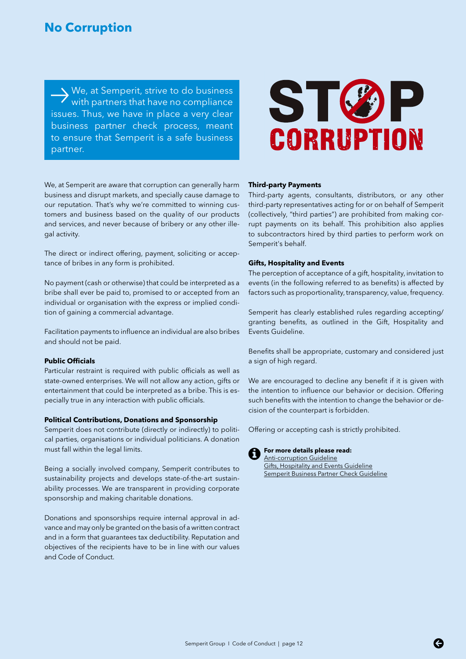# <span id="page-11-0"></span>**No Corruption**

We, at Semperit, strive to do business<br>with partners that have no compliance issues. Thus, we have in place a very clear business partner check process, meant to ensure that Semperit is a safe business partner.



We, at Semperit are aware that corruption can generally harm business and disrupt markets, and specially cause damage to our reputation. That's why we're committed to winning customers and business based on the quality of our products and services, and never because of bribery or any other illegal activity.

The direct or indirect offering, payment, soliciting or acceptance of bribes in any form is prohibited.

No payment (cash or otherwise) that could be interpreted as a bribe shall ever be paid to, promised to or accepted from an individual or organisation with the express or implied condition of gaining a commercial advantage.

Facilitation payments to influence an individual are also bribes and should not be paid.

#### **Public Officials**

Particular restraint is required with public officials as well as state-owned enterprises. We will not allow any action, gifts or entertainment that could be interpreted as a bribe. This is especially true in any interaction with public officials.

#### **Political Contributions, Donations and Sponsorship**

Semperit does not contribute (directly or indirectly) to political parties, organisations or individual politicians. A donation must fall within the legal limits.

Being a socially involved company, Semperit contributes to sustainability projects and develops state-of-the-art sustainability processes. We are transparent in providing corporate sponsorship and making charitable donations.

Donations and sponsorships require internal approval in advance and may only be granted on the basis of a written contract and in a form that guarantees tax deductibility. Reputation and objectives of the recipients have to be in line with our values and Code of Conduct.

#### **Third-party Payments**

Third-party agents, consultants, distributors, or any other third-party representatives acting for or on behalf of Semperit (collectively, "third parties") are prohibited from making corrupt payments on its behalf. This prohibition also applies to subcontractors hired by third parties to perform work on Semperit's behalf.

#### **Gifts, Hospitality and Events**

The perception of acceptance of a gift, hospitality, invitation to events (in the following referred to as benefits) is affected by factors such as proportionality, transparency, value, frequency.

Semperit has clearly established rules regarding accepting/ granting benefits, as outlined in the Gift, Hospitality and Events Guideline.

Benefits shall be appropriate, customary and considered just a sign of high regard.

We are encouraged to decline any benefit if it is given with the intention to influence our behavior or decision. Offering such benefits with the intention to change the behavior or decision of the counterpart is forbidden.

Offering or accepting cash is strictly prohibited.



# **For more details please read:**

[Anti-corruption Guideline](https://semperit.sharepoint.com/sites/grcomppu/Pages/ANTI-BRIBERY-AND-ANTI-CORRUPTION-POLICY.aspx) [Gifts, Hospitality and Events Guideline](https://semperit.sharepoint.com/sites/grcomppu/Pages/GiftHospitalityEventApprovalForms.aspx) [Semperit Business Partner Check Guideline](https://semperit.sharepoint.com/sites/grcomppu/Pages/Business-Partner-Check.aspx)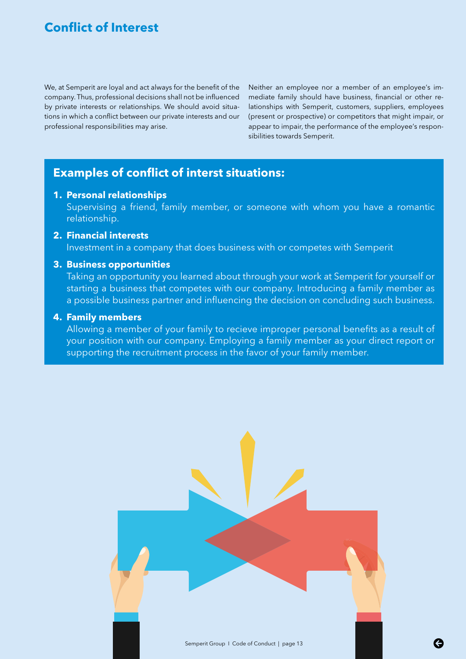# <span id="page-12-0"></span>**Conflict of Interest**

We, at Semperit are loyal and act always for the benefit of the company. Thus, professional decisions shall not be influenced by private interests or relationships. We should avoid situations in which a conflict between our private interests and our professional responsibilities may arise.

Neither an employee nor a member of an employee's immediate family should have business, financial or other relationships with Semperit, customers, suppliers, employees (present or prospective) or competitors that might impair, or appear to impair, the performance of the employee's responsibilities towards Semperit.

# **Examples of conflict of interst situations:**

### **1. Personal relationships**

Supervising a friend, family member, or someone with whom you have a romantic relationship.

## **2. Financial interests**

Investment in a company that does business with or competes with Semperit

#### **3. Business opportunities**

Taking an opportunity you learned about through your work at Semperit for yourself or starting a business that competes with our company. Introducing a family member as a possible business partner and influencing the decision on concluding such business.

### **4. Family members**

Allowing a member of your family to recieve improper personal benefits as a result of your position with our company. Employing a family member as your direct report or supporting the recruitment process in the favor of your family member.

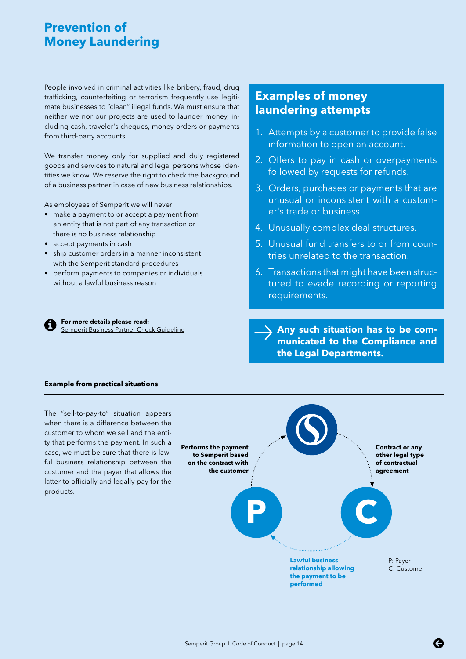# <span id="page-13-0"></span>**Prevention of Money Laundering**

People involved in criminal activities like bribery, fraud, drug trafficking, counterfeiting or terrorism frequently use legitimate businesses to "clean" illegal funds. We must ensure that neither we nor our projects are used to launder money, including cash, traveler's cheques, money orders or payments from third-party accounts.

We transfer money only for supplied and duly registered goods and services to natural and legal persons whose identities we know. We reserve the right to check the background of a business partner in case of new business relationships.

As employees of Semperit we will never

- make a payment to or accept a payment from an entity that is not part of any transaction or there is no business relationship
- accept payments in cash
- ship customer orders in a manner inconsistent with the Semperit standard procedures
- perform payments to companies or individuals without a lawful business reason

**For more details please read:**<br><u>Semperit Business Partner Check Guideline</u> [Semperit Business Partner Check Guideline](https://semperit.sharepoint.com/sites/grcomppu/Pages/Business-Partner-Check.aspx)

# **Examples of money laundering attempts**

- 1. Attempts by a customer to provide false information to open an account.
- 2. Offers to pay in cash or overpayments followed by requests for refunds.
- 3. Orders, purchases or payments that are unusual or inconsistent with a customer's trade or business.
- 4. Unusually complex deal structures.
- 5. Unusual fund transfers to or from countries unrelated to the transaction.
- 6. Transactions that might have been structured to evade recording or reporting requirements.

**Any such situation has to be communicated to the Compliance and the Legal Departments.**

**Example from practical situations**

The "sell-to-pay-to" situation appears when there is a difference between the customer to whom we sell and the entity that performs the payment. In such a case, we must be sure that there is lawful business relationship between the custumer and the payer that allows the latter to officially and legally pay for the products.

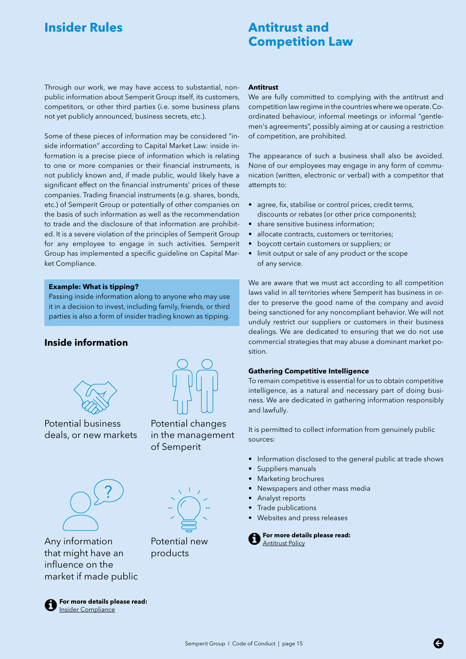# <span id="page-14-0"></span>**Insider Rules Antitrust and**

# **Competition Law**

Through our work, we may have access to substantial, nonpublic information about Semperit Group itself, its customers, competitors, or other third parties (i.e. some business plans not yet publicly announced, business secrets, etc.).

Some of these pieces of information may be considered "inside information" according to Capital Market Law: inside information is a precise piece of information which is relating to one or more companies or their financial instruments, is not publicly known and, if made public, would likely have a significant effect on the financial instruments' prices of these companies. Trading financial instruments (e.g. shares, bonds, etc.) of Semperit Group or potentially of other companies on the basis of such information as well as the recommendation to trade and the disclosure of that information are prohibited. It is a severe violation of the principles of Semperit Group for any employee to engage in such activities. Semperit Group has implemented a specific guideline on Capital Market Compliance.

#### **Example: What is tipping?**

Passing inside information along to anyone who may use it in a decision to invest, including family, friends, or third parties is also a form of insider trading known as tipping.

## **Inside information**



Potential business deals, or new markets



Any information that might have an influence on the market if made public



**For more details please read:** [Insider Compliance](https://semperit.sharepoint.com/sites/grcomppu/StockExchangeCompliance/Forms/AllItems.aspx)

#### **Antitrust**

We are fully committed to complying with the antitrust and competition law regime in the countries where we operate. Coordinated behaviour, informal meetings or informal "gentlemen's agreements", possibly aiming at or causing a restriction of competition, are prohibited.

The appearance of such a business shall also be avoided. None of our employees may engage in any form of communication (written, electronic or verbal) with a competitor that attempts to:

- agree, fix, stabilise or control prices, credit terms, discounts or rebates (or other price components);
- share sensitive business information;
- allocate contracts, customers or territories;
- boycott certain customers or suppliers; or
- limit output or sale of any product or the scope of any service.

We are aware that we must act according to all competition laws valid in all territories where Semperit has business in order to preserve the good name of the company and avoid being sanctioned for any noncompliant behavior. We will not unduly restrict our suppliers or customers in their business dealings. We are dedicated to ensuring that we do not use commercial strategies that may abuse a dominant market position.

#### **Gathering Competitive Intelligence**

To remain competitive is essential for us to obtain competitive intelligence, as a natural and necessary part of doing business. We are dedicated in gathering information responsibly and lawfully.

It is permitted to collect information from genuinely public sources:

- Information disclosed to the general public at trade shows
- Suppliers manuals
- Marketing brochures
- Newspapers and other mass media
- Analyst reports
- Trade publications
- Websites and press releases

**For more details please read:** [Antitrust Policy](https://semperit.sharepoint.com/sites/grcomppu/Pages/ANTI-TRUST.aspx)

Potential new products

Potential changes in the management

of Semperit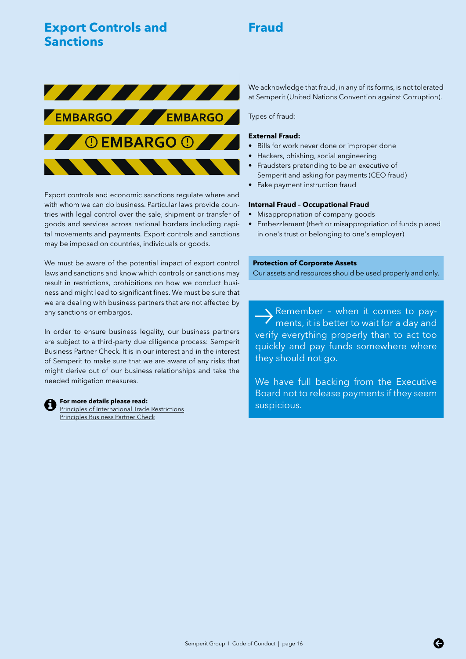# <span id="page-15-0"></span>**Export Controls and Sanctions**

# **Fraud**



Export controls and economic sanctions regulate where and with whom we can do business. Particular laws provide countries with legal control over the sale, shipment or transfer of goods and services across national borders including capital movements and payments. Export controls and sanctions may be imposed on countries, individuals or goods.

We must be aware of the potential impact of export control laws and sanctions and know which controls or sanctions may result in restrictions, prohibitions on how we conduct business and might lead to significant fines. We must be sure that we are dealing with business partners that are not affected by any sanctions or embargos.

In order to ensure business legality, our business partners are subject to a third-party due diligence process: Semperit Business Partner Check. It is in our interest and in the interest of Semperit to make sure that we are aware of any risks that might derive out of our business relationships and take the needed mitigation measures.



suspicious. **For more details please read:** [Principles of International Trade Restrictions](https://semperit.sharepoint.com/sites/grcomppu/Pages/International-Trade-Restrictions.aspx) [Principles Business Partner Check](https://semperit.sharepoint.com/sites/grcomppu/Pages/Business-Partner-Check.aspx)

We acknowledge that fraud, in any of its forms, is not tolerated at Semperit (United Nations Convention against Corruption).

Types of fraud:

#### **External Fraud:**

- Bills for work never done or improper done
- Hackers, phishing, social engineering
- Fraudsters pretending to be an executive of Semperit and asking for payments (CEO fraud)
- Fake payment instruction fraud

#### **Internal Fraud – Occupational Fraud**

- Misappropriation of company goods
- Embezzlement (theft or misappropriation of funds placed in one's trust or belonging to one's employer)

#### **Protection of Corporate Assets**

Our assets and resources should be used properly and only.

**b** Remember - when it comes to pay-<br>ments, it is better to wait for a day and verify everything properly than to act too quickly and pay funds somewhere where they should not go.

We have full backing from the Executive Board not to release payments if they seem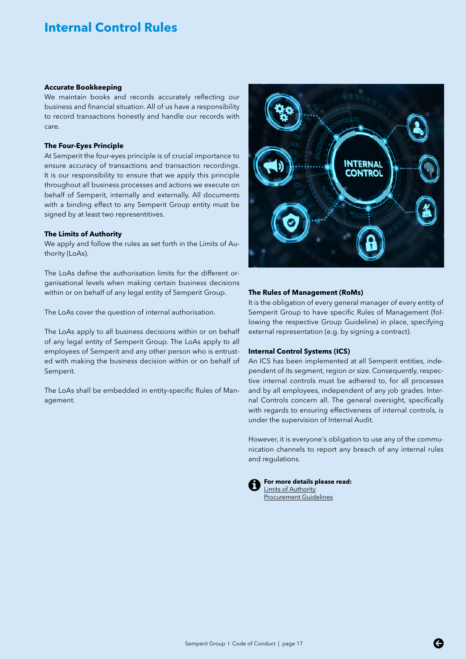# <span id="page-16-0"></span>**Internal Control Rules**

#### **Accurate Bookkeeping**

We maintain books and records accurately reflecting our business and financial situation. All of us have a responsibility to record transactions honestly and handle our records with care.

#### **The Four-Eyes Principle**

At Semperit the four-eyes principle is of crucial importance to ensure accuracy of transactions and transaction recordings. It is our responsibility to ensure that we apply this principle throughout all business processes and actions we execute on behalf of Semperit, internally and externally. All documents with a binding effect to any Semperit Group entity must be signed by at least two representitives.

#### **The Limits of Authority**

We apply and follow the rules as set forth in the Limits of Authority (LoAs).

The LoAs define the authorisation limits for the different organisational levels when making certain business decisions within or on behalf of any legal entity of Semperit Group.

The LoAs cover the question of internal authorisation.

The LoAs apply to all business decisions within or on behalf of any legal entity of Semperit Group. The LoAs apply to all employees of Semperit and any other person who is entrusted with making the business decision within or on behalf of Semperit.

The LoAs shall be embedded in entity-specific Rules of Management.



#### **The Rules of Management (RoMs)**

It is the obligation of every general manager of every entity of Semperit Group to have specific Rules of Management (following the respective Group Guideline) in place, specifying external representation (e.g. by signing a contract).

#### **Internal Control Systems (ICS)**

An ICS has been implemented at all Semperit entities, independent of its segment, region or size. Consequently, respective internal controls must be adhered to, for all processes and by all employees, independent of any job grades. Internal Controls concern all. The general oversight, specifically with regards to ensuring effectiveness of internal controls, is under the supervision of Internal Audit.

However, it is everyone's obligation to use any of the communication channels to report any breach of any internal rules and regulations.

**For more details please read:** [Limits of Authority](https://semperit.sharepoint.com/sites/grcomppu/Pages/Limits-of-Authority.aspx) [Procurement Guidelines](https://semperit.sharepoint.com/:w:/r/sites/gqm/qms/_layouts/15/Doc.aspx?sourcedoc=%7BC86E05C4-0497-45AD-904E-A6ED345D4BDE%7D&file=QP%20B%20G%201104.docx&action=default&mobileredirect=true&DefaultItemOpen=1)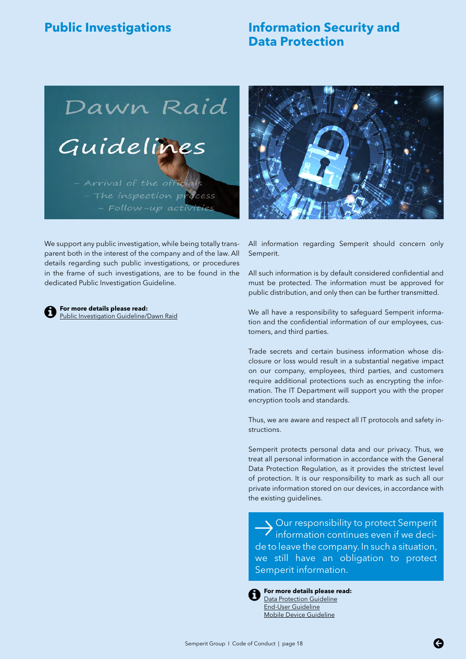# <span id="page-17-0"></span>**Public Investigations Information Security and Data Protection**

Dawn Raid Guidelines - Arrival of the officials - The inspection process

- Follow-up activities



We support any public investigation, while being totally transparent both in the interest of the company and of the law. All details regarding such public investigations, or procedures in the frame of such investigations, are to be found in the dedicated Public Investigation Guideline.

**For more details please read:** [Public Investigation Guideline/Dawn Raid](https://semperit.sharepoint.com/sites/grcomppu/Pages/ANTI-TRUST.aspx) All information regarding Semperit should concern only Semperit.

All such information is by default considered confidential and must be protected. The information must be approved for public distribution, and only then can be further transmitted.

We all have a responsibility to safeguard Semperit information and the confidential information of our employees, customers, and third parties.

Trade secrets and certain business information whose disclosure or loss would result in a substantial negative impact on our company, employees, third parties, and customers require additional protections such as encrypting the information. The IT Department will support you with the proper encryption tools and standards.

Thus, we are aware and respect all IT protocols and safety instructions.

Semperit protects personal data and our privacy. Thus, we treat all personal information in accordance with the General Data Protection Regulation, as it provides the strictest level of protection. It is our responsibility to mark as such all our private information stored on our devices, in accordance with the existing guidelines.

 $\longrightarrow \text{Our responsibility to protect Semperit} \overbrace{\text{information continues even if we deci}}$ de to leave the company. In such a situation, we still have an obligation to protect Semperit information.



**For more details please read:** [Data Protection Guideline](https://semperit.sharepoint.com/sites/grcomppu/Pages/Data%20Privacy.aspx) [End-User Guideline](https://semperit.sharepoint.com/:w:/r/sites/gqm/qms/_layouts/15/Doc.aspx?sourcedoc=%7B99B89984-9A82-4FAC-B325-4932E9485173%7D&file=QP%20B%20G%207307.docx&action=default&mobileredirect=true&DefaultItemOpen=1) [Mobile Device Guideline](https://semperit.sharepoint.com/:w:/r/sites/gqm/qms/_layouts/15/Doc.aspx?sourcedoc=%7B7DC235AC-4839-4EC0-B104-074206F4EC29%7D&file=QP%20B%20G%207306.docx&action=default&mobileredirect=true&DefaultItemOpen=1)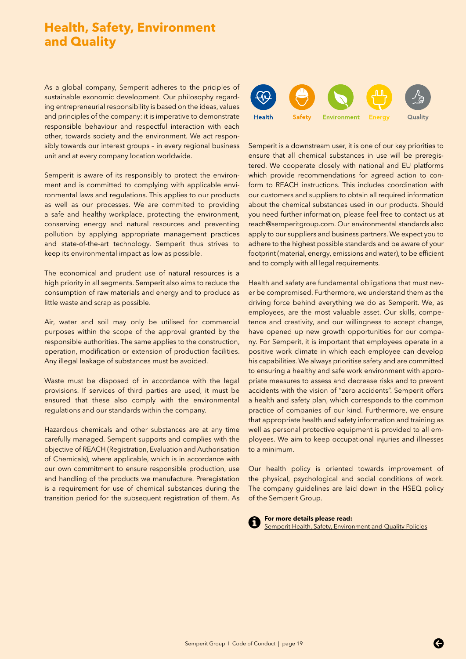# <span id="page-18-0"></span>**Health, Safety, Environment and Quality**

As a global company, Semperit adheres to the priciples of sustainable exonomic development. Our philosophy regarding entrepreneurial responsibility is based on the ideas, values and principles of the company: it is imperative to demonstrate responsible behaviour and respectful interaction with each other, towards society and the environment. We act responsibly towards our interest groups – in every regional business unit and at every company location worldwide.

Semperit is aware of its responsibly to protect the environment and is committed to complying with applicable environmental laws and regulations. This applies to our products as well as our processes. We are commited to providing a safe and healthy workplace, protecting the environment, conserving energy and natural resources and preventing pollution by applying appropriate management practices and state-of-the-art technology. Semperit thus strives to keep its environmental impact as low as possible.

The economical and prudent use of natural resources is a high priority in all segments. Semperit also aims to reduce the consumption of raw materials and energy and to produce as little waste and scrap as possible.

Air, water and soil may only be utilised for commercial purposes within the scope of the approval granted by the responsible authorities. The same applies to the construction, operation, modification or extension of production facilities. Any illegal leakage of substances must be avoided.

Waste must be disposed of in accordance with the legal provisions. If services of third parties are used, it must be ensured that these also comply with the environmental regulations and our standards within the company.

Hazardous chemicals and other substances are at any time carefully managed. Semperit supports and complies with the objective of REACH (Registration, Evaluation and Authorisation of Chemicals), where applicable, which is in accordance with our own commitment to ensure responsible production, use and handling of the products we manufacture. Preregistation is a requirement for use of chemical substances during the transition period for the subsequent registration of them. As



Semperit is a downstream user, it is one of our key priorities to ensure that all chemical substances in use will be preregistered. We cooperate closely with national and EU platforms which provide recommendations for agreed action to conform to REACH instructions. This includes coordination with our customers and suppliers to obtain all required information about the chemical substances used in our products. Should you need further information, please feel free to contact us at reach@semperitgroup.com. Our environmental standards also apply to our suppliers and business partners. We expect you to adhere to the highest possible standards and be aware of your footprint (material, energy, emissions and water), to be efficient and to comply with all legal requirements.

Health and safety are fundamental obligations that must never be compromised. Furthermore, we understand them as the driving force behind everything we do as Semperit. We, as employees, are the most valuable asset. Our skills, competence and creativity, and our willingness to accept change, have opened up new growth opportunities for our company. For Semperit, it is important that employees operate in a positive work climate in which each employee can develop his capabilities. We always prioritise safety and are committed to ensuring a healthy and safe work environment with appropriate measures to assess and decrease risks and to prevent accidents with the vision of "zero accidents". Semperit offers a health and safety plan, which corresponds to the common practice of companies of our kind. Furthermore, we ensure that appropriate health and safety information and training as well as personal protective equipment is provided to all employees. We aim to keep occupational injuries and illnesses to a minimum.

Our health policy is oriented towards improvement of the physical, psychological and social conditions of work. The company guidelines are laid down in the HSEQ policy of the Semperit Group.



**For more details please read:** [Semperit Health, Safety, Environment and Quality Policies](https://www.semperitgroup.com/fileadmin/img/holding/pdf_dateien/Q_SHE_policy/QSHE_Poster_EN_screen_180110.pdf)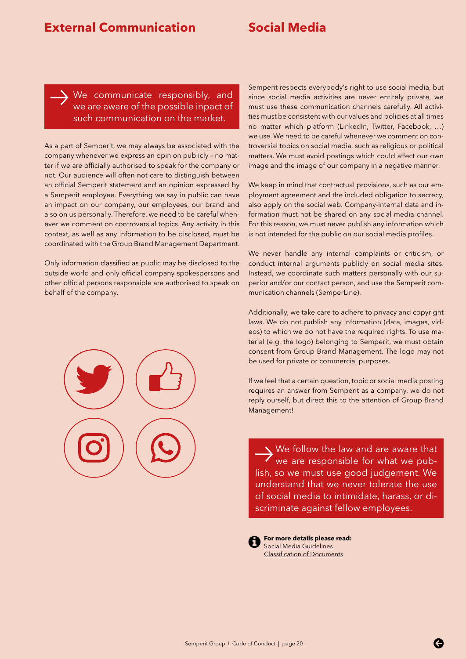# <span id="page-19-0"></span>**External Communication Social Media**

We communicate responsibly, and we are aware of the possible inpact of such communication on the market.  $\rightarrow$ 

As a part of Semperit, we may always be associated with the company whenever we express an opinion publicly – no matter if we are officially authorised to speak for the company or not. Our audience will often not care to distinguish between an official Semperit statement and an opinion expressed by a Semperit employee. Everything we say in public can have an impact on our company, our employees, our brand and also on us personally. Therefore, we need to be careful whenever we comment on controversial topics. Any activity in this context, as well as any information to be disclosed, must be coordinated with the Group Brand Management Department.

Only information classified as public may be disclosed to the outside world and only official company spokespersons and other official persons responsible are authorised to speak on behalf of the company.



Semperit respects everybody's right to use social media, but since social media activities are never entirely private, we must use these communication channels carefully. All activities must be consistent with our values and policies at all times no matter which platform (LinkedIn, Twitter, Facebook, …) we use. We need to be careful whenever we comment on controversial topics on social media, such as religious or political matters. We must avoid postings which could affect our own image and the image of our company in a negative manner.

We keep in mind that contractual provisions, such as our employment agreement and the included obligation to secrecy, also apply on the social web. Company-internal data and information must not be shared on any social media channel. For this reason, we must never publish any information which is not intended for the public on our social media profiles.

We never handle any internal complaints or criticism, or conduct internal arguments publicly on social media sites. Instead, we coordinate such matters personally with our superior and/or our contact person, and use the Semperit communication channels (SemperLine).

Additionally, we take care to adhere to privacy and copyright laws. We do not publish any information (data, images, videos) to which we do not have the required rights. To use material (e.g. the logo) belonging to Semperit, we must obtain consent from Group Brand Management. The logo may not be used for private or commercial purposes.

If we feel that a certain question, topic or social media posting requires an answer from Semperit as a company, we do not reply ourself, but direct this to the attention of Group Brand Management!

We follow the law and are aware that<br>
we are responsible for what we publish, so we must use good judgement. We understand that we never tolerate the use of social media to intimidate, harass, or discriminate against fellow employees.

**For more details please read:** [Social Media Guidelines](https://semperit.sharepoint.com/sites/grcompu/Manuals/Forms/AllItems.aspx?id=%2Fsites%2Fgrcompu%2FManuals%2FGuidelines%20to%20Social%20Media%20Behaviour%2Epdf&parent=%2Fsites%2Fgrcompu%2FManuals) [Classification of Documents](https://semperit.sharepoint.com/:w:/r/sites/gqm/qms/_layouts/15/Doc.aspx?sourcedoc=%7BAC962E21-267D-4785-83CA-115BBCC1DAB3%7D&file=QP%20B%20G%201101.docx&action=default&mobileredirect=true)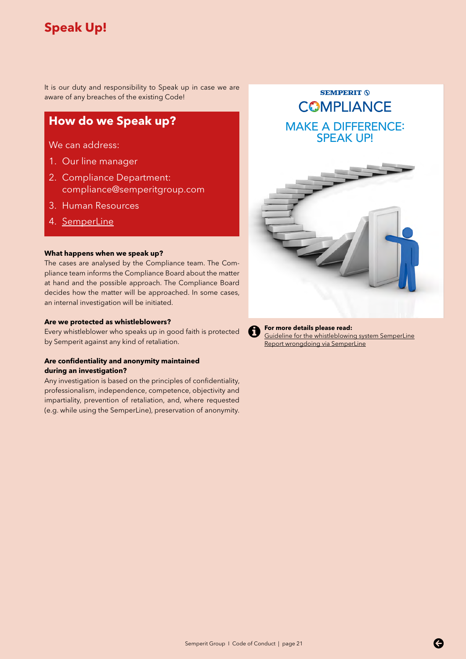# <span id="page-20-0"></span>**Speak Up!**

It is our duty and responsibility to Speak up in case we are aware of any breaches of the existing Code!

# **How do we Speak up?**

We can address:

- 1. Our line manager
- 2. Compliance Department: compliance@semperitgroup.com
- 3. Human Resources
- 4. [SemperLine](https://www.bkms-system.com/bkwebanon/report/clientInfo?cin=19semp16&c=-1&language=eng)

#### **What happens when we speak up?**

The cases are analysed by the Compliance team. The Compliance team informs the Compliance Board about the matter at hand and the possible approach. The Compliance Board decides how the matter will be approached. In some cases, an internal investigation will be initiated.

#### **Are we protected as whistleblowers?**

Every whistleblower who speaks up in good faith is protected by Semperit against any kind of retaliation.

#### **Are confidentiality and anonymity maintained during an investigation?**

Any investigation is based on the principles of confidentiality, professionalism, independence, competence, objectivity and impartiality, prevention of retaliation, and, where requested (e.g. while using the SemperLine), preservation of anonymity.

**COMPLIANCE** MAKE A DIFFERENCE: SPEAK UP!

**SEMPERIT (S)** 



**For more details please read:** [Guideline for the whistleblowing system SemperLine](https://semperit.sharepoint.com/sites/grcomppu/Pages/SemperLine.aspx) [Report wrongdoing via SemperLine](https://www.semperitgroup.com/en/about-us/compliance/semperline/)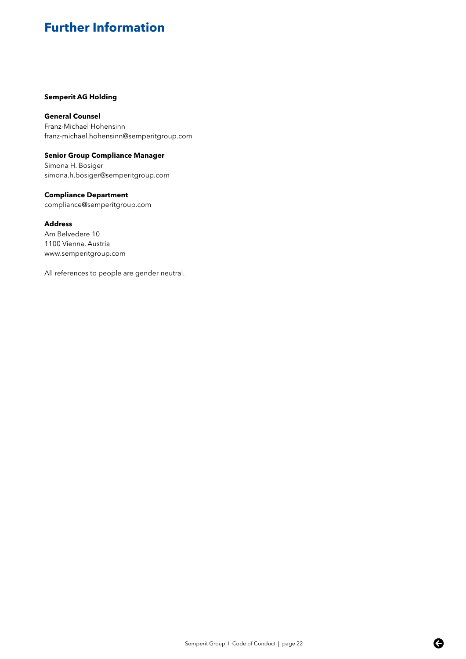# <span id="page-21-0"></span>**Further Information**

#### **Semperit AG Holding**

**General Counsel**  Franz-Michael Hohensinn franz-michael.hohensinn@semperitgroup.com

**Senior Group Compliance Manager** Simona H. Bosiger simona.h.bosiger@semperitgroup.com

**Compliance Department**  compliance@semperitgroup.com

#### **Address**

Am Belvedere 10 1100 Vienna, Austria www.semperitgroup.com

All references to people are gender neutral.